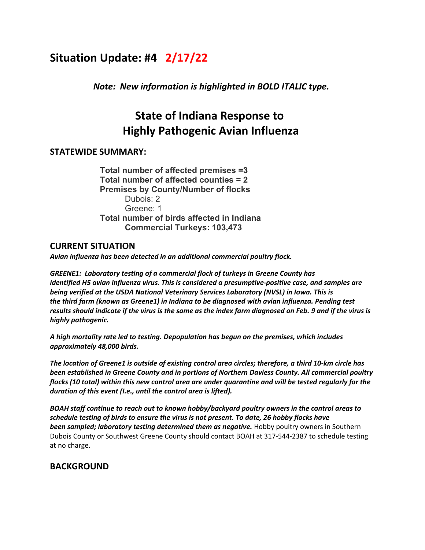# **Situation Update: #4 2/17/22**

*Note: New information is highlighted in BOLD ITALIC type.*

# **State of Indiana Response to Highly Pathogenic Avian Influenza**

## **STATEWIDE SUMMARY:**

**Total number of affected premises =3 Total number of affected counties = 2 Premises by County/Number of flocks** Dubois: 2 Greene: 1 **Total number of birds affected in Indiana Commercial Turkeys: 103,473**

## **CURRENT SITUATION**

*Avian influenza has been detected in an additional commercial poultry flock.*

*GREENE1: Laboratory testing of a commercial flock of turkeys in Greene County has identified H5 avian influenza virus. This is considered a presumptive-positive case, and samples are being verified at the USDA National Veterinary Services Laboratory (NVSL) in Iowa. This is the third farm (known as Greene1) in Indiana to be diagnosed with avian influenza. Pending test results should indicate if the virus is the same as the index farm diagnosed on Feb. 9 and if the virus is highly pathogenic.*

*A high mortality rate led to testing. Depopulation has begun on the premises, which includes approximately 48,000 birds.* 

*The location of Greene1 is outside of existing control area circles; therefore, a third 10-km circle has been established in Greene County and in portions of Northern Daviess County. All commercial poultry flocks (10 total) within this new control area are under quarantine and will be tested regularly for the duration of this event (I.e., until the control area is lifted).*

*BOAH staff continue to reach out to known hobby/backyard poultry owners in the control areas to schedule testing of birds to ensure the virus is not present. To date, 26 hobby flocks have been sampled; laboratory testing determined them as negative.* Hobby poultry owners in Southern Dubois County or Southwest Greene County should contact BOAH at 317-544-2387 to schedule testing at no charge.

# **BACKGROUND**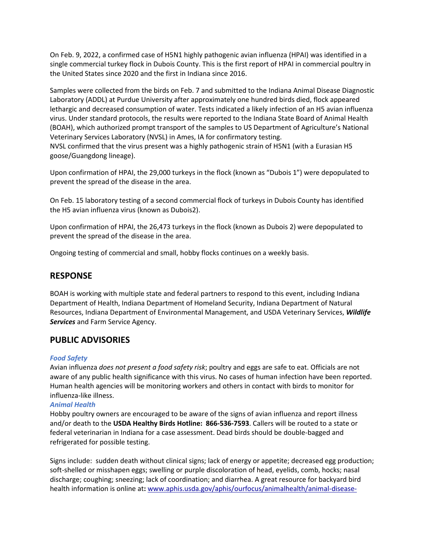On Feb. 9, 2022, a confirmed case of H5N1 highly pathogenic avian influenza (HPAI) was identified in a single commercial turkey flock in Dubois County. This is the first report of HPAI in commercial poultry in the United States since 2020 and the first in Indiana since 2016.

Samples were collected from the birds on Feb. 7 and submitted to the Indiana Animal Disease Diagnostic Laboratory (ADDL) at Purdue University after approximately one hundred birds died, flock appeared lethargic and decreased consumption of water. Tests indicated a likely infection of an H5 avian influenza virus. Under standard protocols, the results were reported to the Indiana State Board of Animal Health (BOAH), which authorized prompt transport of the samples to US Department of Agriculture's National Veterinary Services Laboratory (NVSL) in Ames, IA for confirmatory testing. NVSL confirmed that the virus present was a highly pathogenic strain of H5N1 (with a Eurasian H5 goose/Guangdong lineage).

Upon confirmation of HPAI, the 29,000 turkeys in the flock (known as "Dubois 1") were depopulated to prevent the spread of the disease in the area.

On Feb. 15 laboratory testing of a second commercial flock of turkeys in Dubois County has identified the H5 avian influenza virus (known as Dubois2).

Upon confirmation of HPAI, the 26,473 turkeys in the flock (known as Dubois 2) were depopulated to prevent the spread of the disease in the area.

Ongoing testing of commercial and small, hobby flocks continues on a weekly basis.

## **RESPONSE**

BOAH is working with multiple state and federal partners to respond to this event, including Indiana Department of Health, Indiana Department of Homeland Security, Indiana Department of Natural Resources, Indiana Department of Environmental Management, and USDA Veterinary Services, *Wildlife Services* and Farm Service Agency.

## **PUBLIC ADVISORIES**

#### *Food Safety*

Avian influenza *does not present a food safety risk*; poultry and eggs are safe to eat. Officials are not aware of any public health significance with this virus. No cases of human infection have been reported. Human health agencies will be monitoring workers and others in contact with birds to monitor for influenza-like illness.

### *Animal Health*

Hobby poultry owners are encouraged to be aware of the signs of avian influenza and report illness and/or death to the **USDA Healthy Birds Hotline:  866-536-7593**. Callers will be routed to a state or federal veterinarian in Indiana for a case assessment. Dead birds should be double-bagged and refrigerated for possible testing.

Signs include:  sudden death without clinical signs; lack of energy or appetite; decreased egg production; soft-shelled or misshapen eggs; swelling or purple discoloration of head, eyelids, comb, hocks; nasal discharge; coughing; sneezing; lack of coordination; and diarrhea. A great resource for backyard bird health information is online at**:** [www.aphis.usda.gov/aphis/ourfocus/animalhealth/animal-disease-](http://www.aphis.usda.gov/aphis/ourfocus/animalhealth/animal-disease-information/avian/defend-the-flock-program/dtf-resources/dtf-resources)